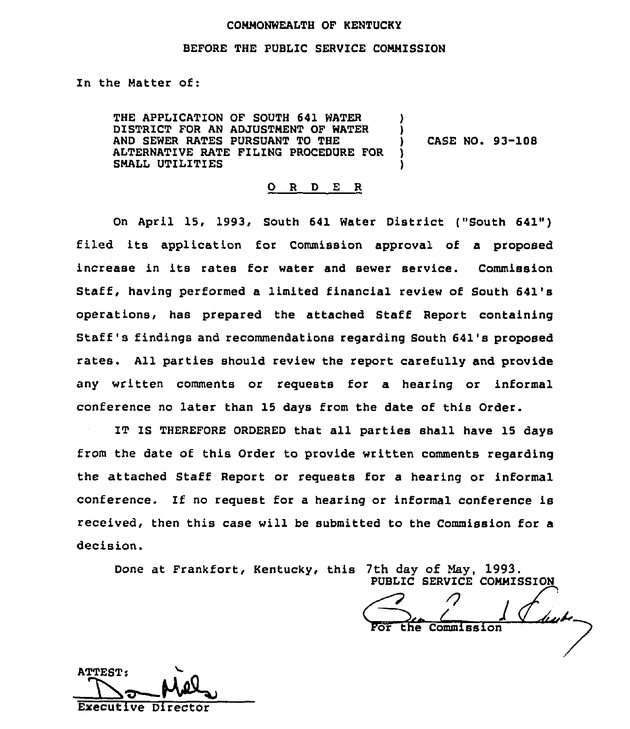### COMMONWEALTH OF KENTUCKY

### BEFORE THE PUBLIC SERVICE COMMISSION

In the Matter of:

THE APPLICATION OF SOUTH 641 WATER DISTRICT FOR AN ADJUSTMENT OF WATER AND SEWER RATES PURSUANT TO THE ALTERNATIVE RATE FILING PROCEDURE FOR SMALL UTILITIES ) ) ) )

) CASE NO. 93-108

#### 0 <sup>R</sup> <sup>D</sup> E R

On April 15, 1993, South 641 Water District ("South 641") filed its application for Commission approval of <sup>a</sup> proposed increase in its rates for water and sewer service. Commission Staff, having performed a limited financial review of South 641's operations, has prepared the attached Staff Report containing Staff's findings and recommendations regarding South 641's proposed rates. All parties should review the report carefully and provide any written comments or requests for a hearing or informal conference no later than 15 days from the date of this Order.

IT IS THEREFORE ORDERED that all parties shall have 15 days from the date of this Order to provide written comments regarding the attached Staff Report or requests for a hearing or informal conference. If no request for a hearing or informal conference is received, then this case will be submitted to the Commission for a decision.

Done at Frankfort, Kentucky, this 7th day of May, 1993.<br>PUBLIC SERVICE COMMISSION<br>For the Commission

ATTEST; Executive Director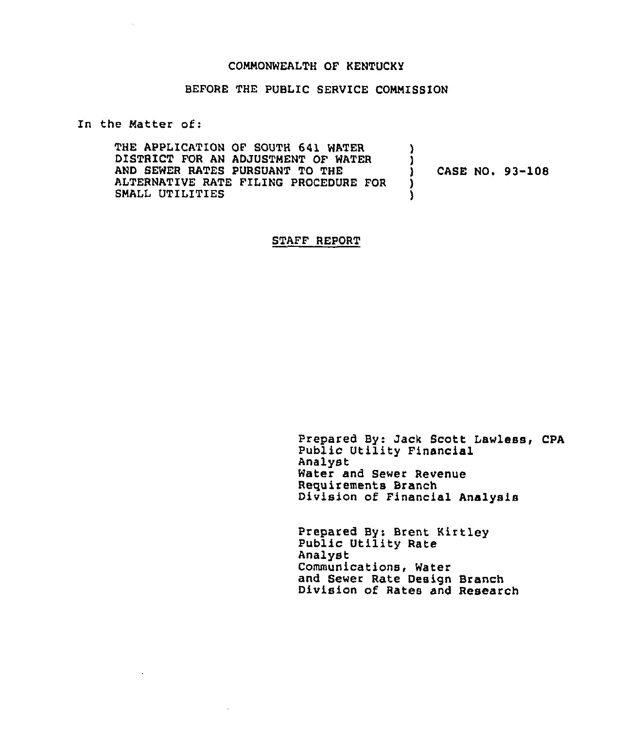### COMMONWEALTH OF KENTUCKY

## BEFORE THE PUBLIC SERVICE COMMISSION

In the Matter of:

 $\sim$ 

 $\sim$   $\sim$ 

| THE APPLICATION OF SOUTH 641 WATER<br>DISTRICT FOR AN ADJUSTMENT OF WATER<br>AND SEWER RATES PURSUANT TO THE<br>ALTERNATIVE RATE FILING PROCEDURE FOR<br>SMALL UTILITIES |  |  |  | <b>CASE NO. 93-108</b> |
|--------------------------------------------------------------------------------------------------------------------------------------------------------------------------|--|--|--|------------------------|
|--------------------------------------------------------------------------------------------------------------------------------------------------------------------------|--|--|--|------------------------|

STAFF REPORT

Prepared By: Jack Scott Lawless, CPA Public Utility Financial Analyst Water and Sewer Revenue Requirements Branch Division of Financial Analysis

Prepared By: Brent Kirtley Public Utility Rate Analyst Communications, Water and Sewer Rate Design Branch Division of Rates and Research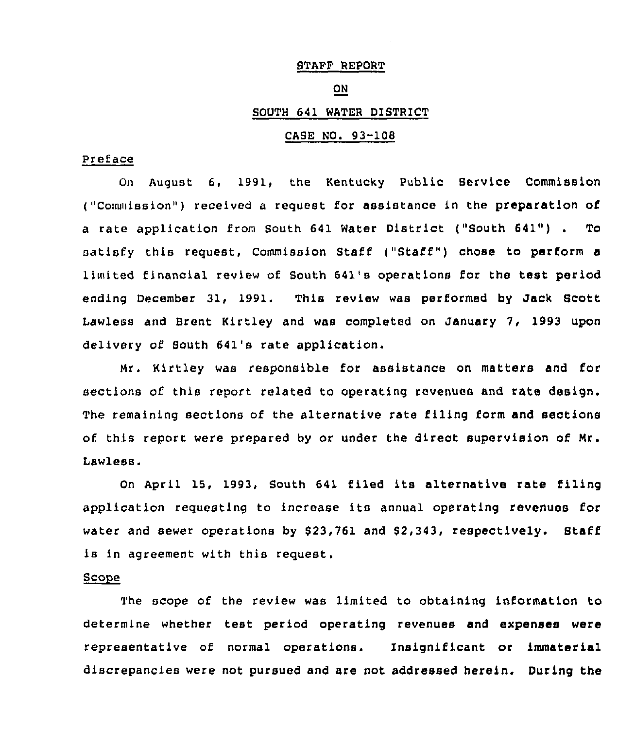### STAFF REPORT

### ON

### SOUTH 641 WATER DISTRICT

## CASE NO. 93-108

### Preface

On August 6, 1991, the Kentucky Public Service Commission ("Commission") received a request for assistance in the preparation of <sup>a</sup> rate application from South <sup>641</sup> Water District ("South 641") . To satisfy this request, Commission Staff ("Staff" ) chose to perform <sup>a</sup> 1)m(ted financial review of South 641's operations for the test period ending December 31, 1991. This review was performed by Jack Scott Lawless and Srent Kirtley and was completed on January 7, 1993 upon delivery of South 641's rate application.

Mr. Kirtley was responsible for assistance on matters and for sections of this report related to operating revenues and rate design. The remaining sections of the alternative rate filing form and sections of this report were prepared by or under the direct supervision of Mr. Lawless.

On April 15, 1993, South 641 filed its alternative rate filing application requesting to increase its annual operating revenues for water and sewer operations by \$23,761 and \$2,343, respectively. Staff is in agreement with this request.

### Scope

The scope of the review was limited to obtaining information to determine whether test period operating revenues and expenses were representative of normal operations. Insignificant or immaterial discrepancies were not pursued snd are not addressed herein. During the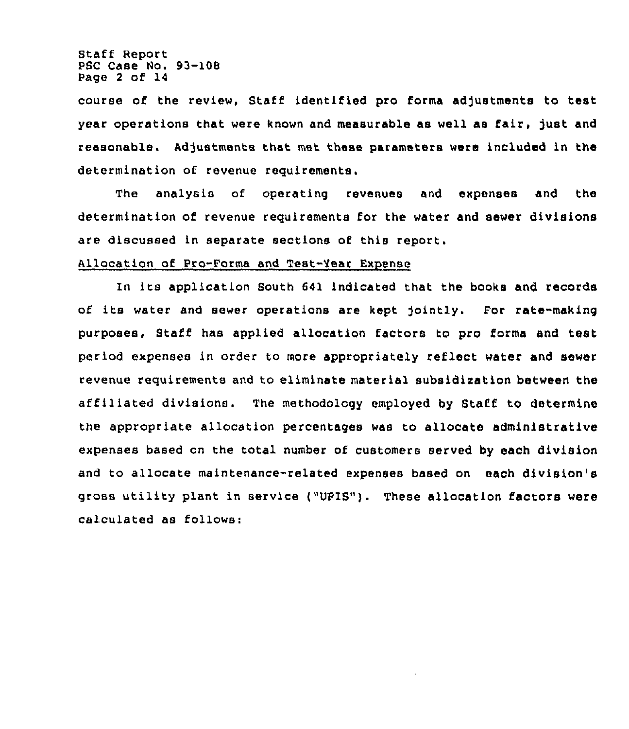Staff Report PSC Case No. 93-108 Page <sup>2</sup> of 14

course of the review, Staff identified pro forma adjustments to test year operations that were known and measurable as well as fair, just and reasonable. Adjustments that met these parameters were included in the determination of revenue requirements.

The analysis of operating revenues and expenses and the determination of revenue requirements for the water and sewer divisions are discussed in separate sections of this report.

# Allocation of Pro-Forma and Test-Year Expense

In its application South 641 indicated that the books and records of its water and sewer operations are kept jointly. Por rate-making purposes, Staff has applied allocation factors to pro forms and test, period expenses in order to more appropriately reflect water and sewer revenue requirements and to eliminate material subsidization between the affiliated divisions. The methodology employed by Staff to determine the appropriate allocation percentages was to allocate administrative expenses based on the total number of customers served by each division and to allocate maintenance-related expenses based on each division's gross utility plant in service ("UPIS"). These allocation factors were calculated as follows: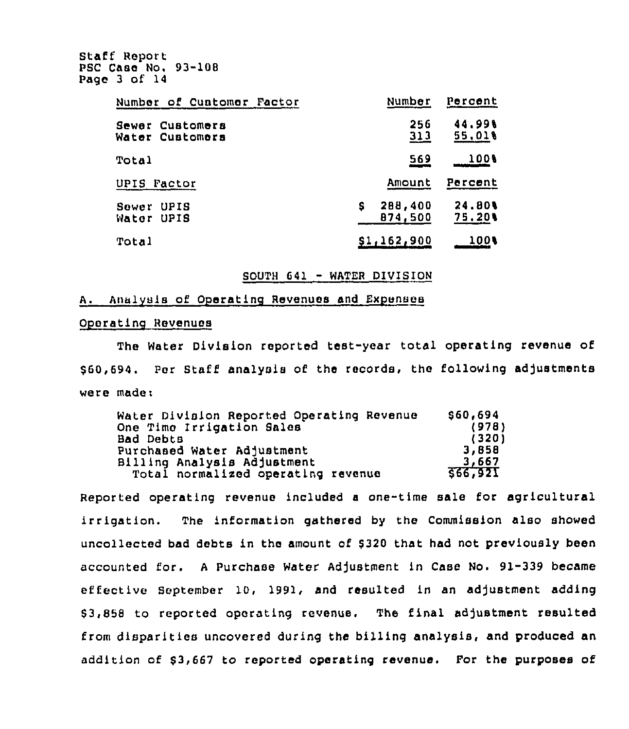Staff Report PSC Case No. 93-108 Page 3 of 14

| Number of Cuatomer Factor          | Number                  | Percent                 |
|------------------------------------|-------------------------|-------------------------|
| Sewer Customers<br>Water Customers | 256<br>313              | 44.998<br>55,018        |
| Total                              | 569                     | 1008                    |
| UPIS Factor                        | Amount                  | Percent                 |
| UPIS<br>Sower<br>Water UPIS        | 288,400<br>s<br>874,500 | <b>24.80%</b><br>75.201 |
| Total                              | S1,162,900              | 100 L                   |

### SOUTH <sup>641</sup> - WATER DIVISION

## A. Analysis of Operating Revenues and Expenses

## Oporatlnq Rovenuos

The Water Division reported test-year total operating revenue of \$ 60,694. Por Staff analysis of the records, the following adjustments were madei

| Water Division Reported Operating Revenue | \$60,694 |
|-------------------------------------------|----------|
| One Time Irrigation Sales                 | (978)    |
| <b>Bad Debts</b>                          | (320)    |
| Purchased Water Adjustment                | 3,858    |
| Billing Analysis Adjustment               | 3,667    |
| Total normalized operating revenue        | 566,921  |

Reported operating revenue included <sup>a</sup> one-time sale for agricultural irrigation. The information gathered by tho Commission also showed uncollected bad debts in the amount of \$320 that had not previously been accounted for. <sup>A</sup> Purchnse Water Adjustment ln Case No. 91-339 became effective September 10, 1991, and resulted in an adjustment adding \$ 3,858 to reported operating revenue. The final adjustment resulted from disparities uncovered during the billing analysis, and produced an addition of \$3,667 to reported operating revenue. For the purposes of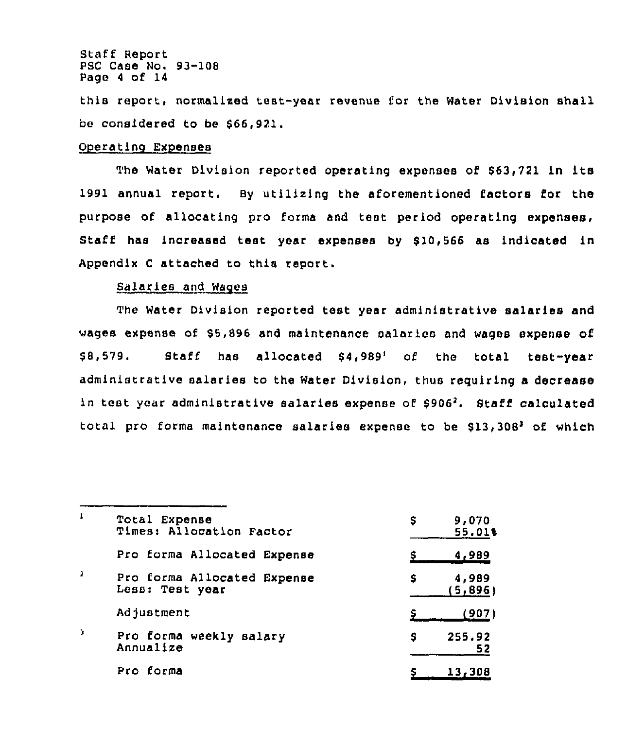Staff Report PSC Case No. 93-108 Page <sup>4</sup> of 14

this report, normalized test-year revenue for the Water Division shall be considered to be \$66,921.

## Operatinq Expenses

The Water Division reported operating expenses of \$63,721 in its 1991 annual report. sy utilizing the aforementioned factors for the purpose of allocating pro forms and test period operating expenses. Staff has increased test year expenses by \$10,566 as indicated in Appendix <sup>C</sup> attached to this report.

# Salaries and Wages

The Water Division reported test year administrative salaries and wages expense of \$5,896 and maintenance salaries and wages expense of \$8,579. Staff has allocated \$4,989' of the total test-year administrative salaries to the Water Division, thus requiring a decrease in test year administrative salaries expense of  $$906<sup>2</sup>$ . Staff calculated total pro forma maintenance salaries expense to be  $$13,308^3$  of which

| 1              | Total Expense<br>Times: Allocation Factor      | 9,070<br>s<br>55.01%   |
|----------------|------------------------------------------------|------------------------|
|                | Pro forma Allocated Expense                    | <u>4,989</u>           |
| $\overline{2}$ | Pro forma Allocated Expense<br>Less: Test year | 4,989<br>s<br>(5, 896) |
|                | Adjustment                                     | (907)                  |
| D.             | Pro forma weekly salary<br>Annualize           | 255.92<br>s<br>52      |
|                | Pro forma                                      | 13,308                 |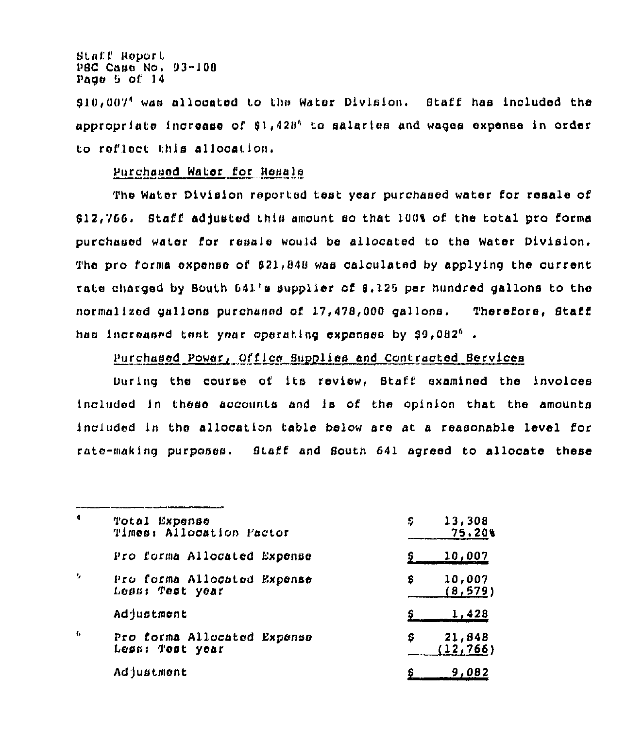**Btaff Report** PSC Case No. 93-108 Page 5 of 14

فأستوه فالمستمرين بالمراد ومستد

\$10,007<sup>4</sup> was allocated to the Water Division. Staff has included the appropriate increase of \$1,428<sup>6</sup> to salaries and wages expense in order to reflect this allocation.

# Purchased Water for Resale

The Water Division reported test year purchased water for resale of \$12,766. Staff adjusted this amount so that 100% of the total pro forma purchased water for resale would be allocated to the Water Division. The pro forma expense of 621,848 was calculated by applying the current rate charged by South 641's supplier of \$.125 per hundred gallons to the normalized gallons purchaned of 17,478,000 gallons. Therefore, Staff has increased test year operating expenses by \$9,082<sup>6</sup>.

# Purchased Power, Office Supplies and Contracted Services

During the course of its review, Staff examined the involces included in these accounts and is of the opinion that the amounts included in the allocation table below are at a reasonable level for rate-making purposes. Staff and South 641 agreed to allocate these

| $\ddot{\phantom{1}}$ | Total Expense<br>Times: Allocation Factor      | 13,308<br>s<br>75.20%         |
|----------------------|------------------------------------------------|-------------------------------|
|                      | Pro forma Allocated Expense                    | 10,007                        |
| ÷,                   | Pro forma Allocated Expense<br>Less: Test year | 10,007<br>s<br><u>(8,579)</u> |
|                      | Adjustment                                     | <u>1,428</u>                  |
| $\mathbf{f}_k$       | Pro forma Allocated Expense<br>Less: Test year | 21,848<br>s<br>(12, 766)      |
|                      | <b>Adjustment</b>                              | 9,082                         |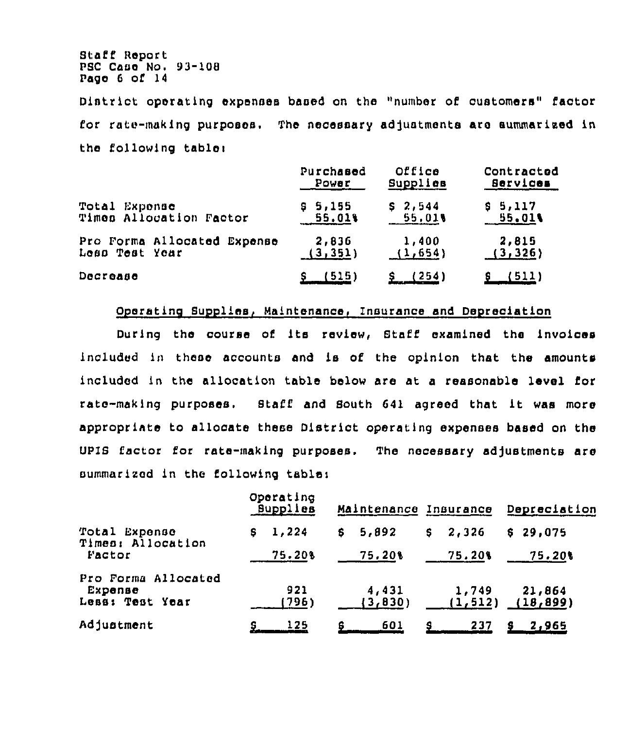Staff Report PSC Case No. 93-108 Page 6 of 14

District operating expenses based on the "number of customers" factor for rate-making purposes. The necessary adjustmenta are summarized in the following table)

|                             | Purchased    | Office   | Contracted      |
|-----------------------------|--------------|----------|-----------------|
|                             | Power        | Supplies | <b>Bervices</b> |
| Total Exponse               | 95,155       | \$2,544  | \$5,117         |
| Times Allocation Factor     | 55.01%       | 55,01%   | 55.01%          |
| Pro Forma Allocated Expense | 2,836        | 1,400    | 2,815           |
| Less Test Year              | (3, 351)     | (1,654)  | (3, 326)        |
| Docrease                    | <u>(515)</u> | (254)    | 511)            |

## Operating Supplies, Maintenance, Insurance and Depreciation

During the course of its review, Staff examined the invoices included in these accounts and is of the opinion that the amounts included in the allocation table below are at a reasonable level for rate-making purposes. Staff and South <sup>641</sup> agreed that it was more appropriate to allocate these District operating expenses based on the UPIB lector for rate-making purposes. The necessary adjustments are summarized in the following table:

|                                                   | Operating<br>Supplies | Maintenance Insurance |                   | Depreciation        |  |
|---------------------------------------------------|-----------------------|-----------------------|-------------------|---------------------|--|
| Total Expense<br>Times: Allocation                | 1,224<br>S.           | 5,892<br>S.           | 2,326<br>\$.      | \$29.075            |  |
| Factor                                            | 75.20%                | 75,20%                | 75.20%            | 75.20%              |  |
| Pro Forma Allocated<br>Expense<br>Less: Test Year | 921<br>(796)          | 4,431<br>(3,830)      | 1,749<br>(1, 512) | 21,864<br>(18, 899) |  |
| Adjustment                                        | 125                   | 601<br>8.             | 237<br>я          | <u>2,965</u>        |  |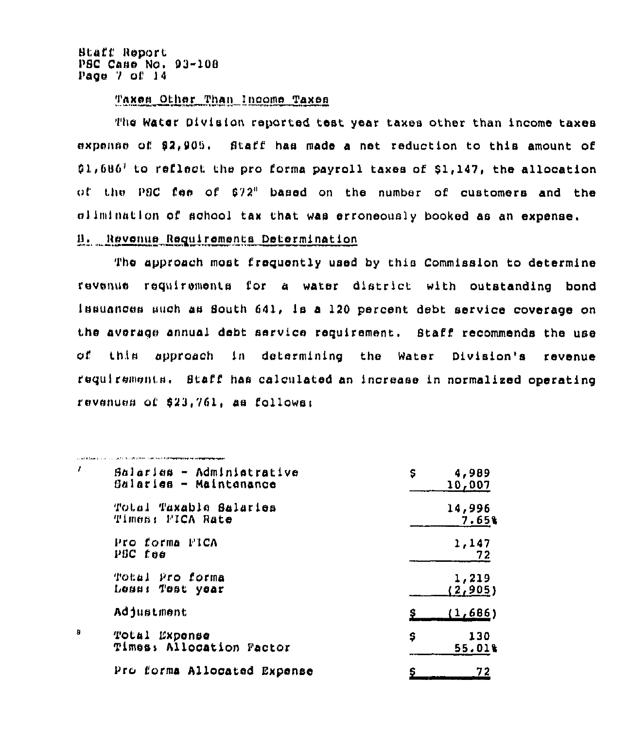**Btaff Report** PSC Case No. 93-108 Page 7 of 14

A 244 A Contribution of the 2012 Charles of the Property Property and the Property of the Contribution of the

# Taxes Other Than Income Taxes

The Water Division reported test year taxes other than income taxes expense of \$2,905. Staff has made a net reduction to this amount of  $61,686^7$  to reflect the pro forma payroll taxes of \$1,147, the allocation of the P8C fee of \$72" based on the number of customers and the climination of school tax that was erroneously booked as an expense. B. Revenue Requirements Determination

The approach most frequently used by this Commission to determine revenue requirements for a water district with outstanding bond Issuances such as South 641, is a 120 percent debt service coverage on the average annual debt service requirement. Staff recommends the use of this approach in determining the Water Division's revenue requirements. Staff has calculated an increase in normalized operating revenues of \$23,761, as follows:

| f, | Balaries - Administrative<br>Balaries - Maintenance | Ş<br>4,989<br>10,007 |
|----|-----------------------------------------------------|----------------------|
|    | Total Taxable Salaries<br>Times: FICA Rate          | 14,996<br>7.65%      |
|    | Pro forma PICA<br>POC foe                           | 1,147<br>72          |
|    | Total Pro forma<br>Less: Test year                  | 1,219<br>(2, 905)    |
|    | Adjustment                                          | (1,686)              |
| Ø  | Expense<br>TOLAI<br>Times: Allocation Factor        | s<br>130<br>55.01%   |
|    | Pro forma Allocated Expense                         | 72                   |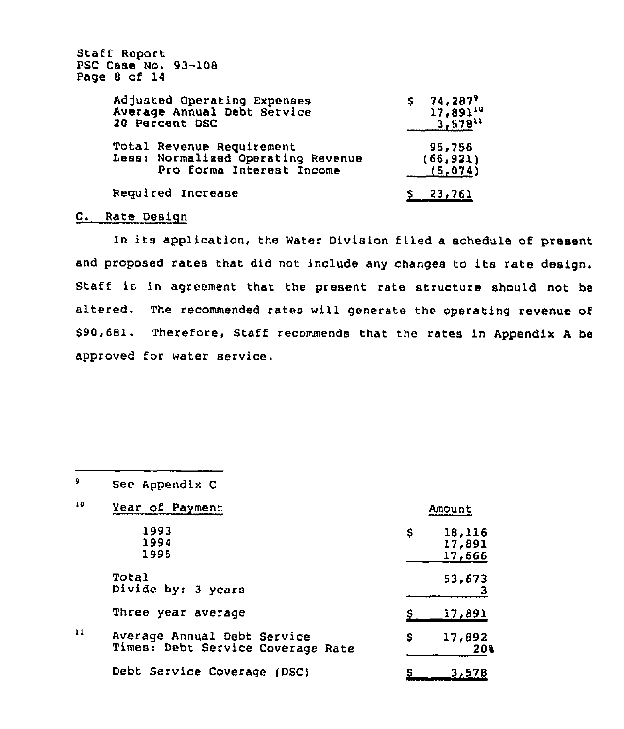| Staff Report<br>PSC Case No. 93-108<br>Page 8 of 14                                          |                                                     |
|----------------------------------------------------------------------------------------------|-----------------------------------------------------|
| Adjusted Operating Expenses<br>Average Annual Debt Service<br>20 Percent DSC                 | $$74,287^9$<br>17,891 <sup>10</sup><br>$3.578^{11}$ |
| Total Revenue Requirement<br>Less: Normalized Operating Revenue<br>Pro forma Interest Income | 95,756<br>(66, 921)<br>(5,074)                      |
| Required Increase                                                                            | <b>23,761</b>                                       |

# C. Rate Design

In its application, the Water Division filed <sup>a</sup> schedule of present and proposed rates that did not include any changes to its rate design. Staff is in agreement that the present rate structure should not be altered. The recommended rates will generate the operating revenue of \$90,681. Therefore, Staff recommends that the rates in Appendix A be approved for water service.

| $\bullet$ | See Appendix C                                                   |    |                            |
|-----------|------------------------------------------------------------------|----|----------------------------|
| 10        | Year of Payment                                                  |    | Amount                     |
|           | 1993<br>1994<br>1995                                             | \$ | 18,116<br>17,891<br>17,666 |
|           | Total<br>Divide by: 3 years                                      |    | 53,673                     |
|           | Three year average                                               |    | <u>17,891</u>              |
| 11        | Average Annual Debt Service<br>Times: Debt Service Coverage Rate | Ş  | 17,892<br>20%              |
|           | Debt Service Coverage (DSC)                                      |    | 3,578                      |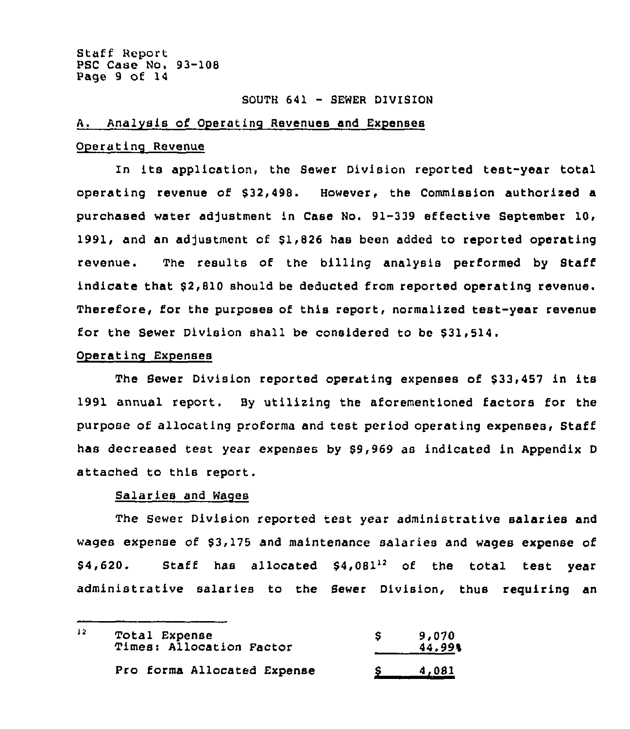## SOUTH 641 — SEWER DIVISION

## A. Analysis of Operating Revenues and Expenses

### Operatinq Revenue

In its application, the Sewer Division reported test-year total operating revenue of \$32,498. However, the Commission authorized a purchased water adjustment in Case No. 91-339 effective September 10, 1991, and an adjustment of \$1,826 has been added to reported operating revenue. The results of the billing analysis performed by Staff indicate that \$2,810 should be deducted from reported operating revenue. Therefore, for the purposes of this report, normalized test-year revenue for the Sewer Division shall be considered to be \$31,514.

## Operatinq Expenses

The Sewer Division reported operating expenses of \$33,457 in its 1991 annual report. By utilizing the aforementioned factors for the purpose of allocating proforma and test period operating expenses, Staff has decreased test year expenses by \$9,969 as indicated in Appendix <sup>D</sup> attached to this report.

## Salaries and Waqes

The Sewer Division reported test year administrative salaries and wages expense of \$3,175 and maintenance salaries and wages expense of  $$4,620.$  Staff has allocated  $$4,081^{12}$  of the total test year administrative salaries to the Sewer Division, thus requiring an

| $\frac{12}{2}$<br>Total Expense<br>Times: Allocation Factor |                             | 9,070<br>44.99% |
|-------------------------------------------------------------|-----------------------------|-----------------|
|                                                             | Pro forma Allocated Expense | 4,081           |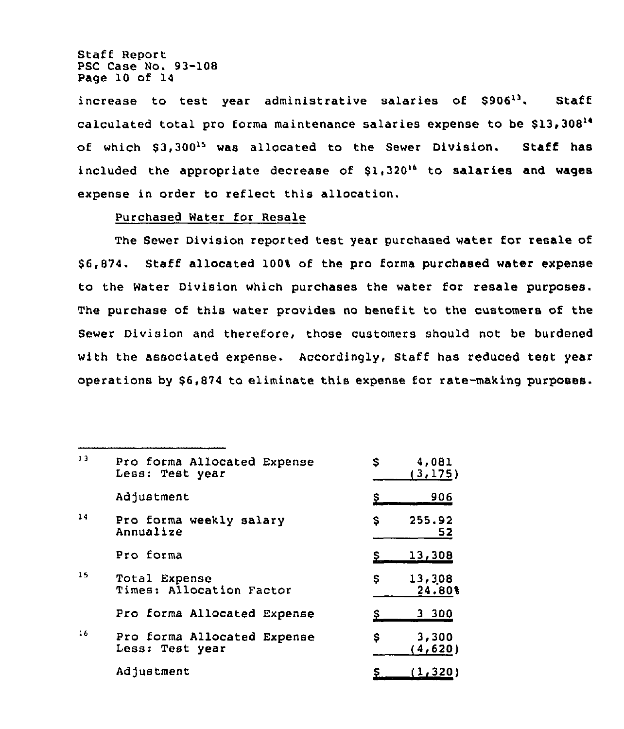Staff Report PSC Case No. 93-108 Page 10 of 14

increase to test year administrative salaries of \$90613. Staff calculated total pro forma maintenance salaries expense to be \$13,308'f of which \$3,300<sup>15</sup> was allocated to the Sewer Division. Staff has included the appropriate decrease of  $$1,320^{16}$$  to salaries and wages expense in order to reflect this allocation.

## Purchased Water for Resale

The Sewer Division reported test year purchased water for resale of \$ 6,874. Staff allocated 100% of the pro forms purchased water expense to the Water Division which purchases the water for resale purposes. The purchase of this water provides no benefit to the customers of the Sewer Division and therefore, those customers should not be burdened with the associated expense. Accordingly, Staff has reduced test year operations by \$6,874 to eliminate this expense for rate-making purposes.

| 13 | Pro forma Allocated Expense<br>Less: Test year | 4,081<br>\$<br>(3,175) |  |
|----|------------------------------------------------|------------------------|--|
|    | Adjustment                                     | 906                    |  |
| 14 | Pro forma weekly salary<br>Annualize           | 255.92<br>\$<br>52     |  |
|    | Pro forma                                      | <u>13,308</u>          |  |
| 15 | Total Expense<br>Times: Allocation Factor      | 13,308<br>\$<br>24.80% |  |
|    | Pro forma Allocated Expense                    | 3 300                  |  |
| 16 | Pro forma Allocated Expense<br>Less: Test year | \$<br>3,300<br>(4,620) |  |
|    | Adjustment                                     | (1, 320)               |  |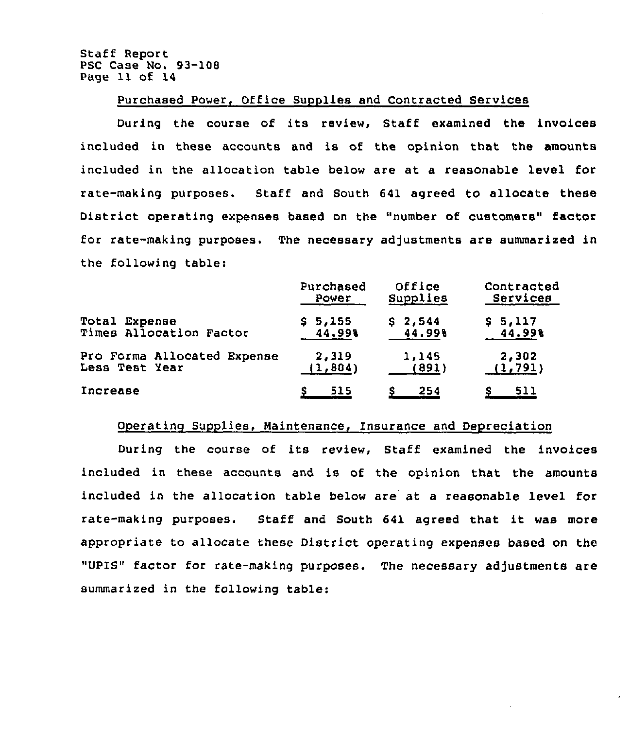Staff Report PSC Case No. 93-108 Page 11 of 14

## Purchased Power, Office Supplies and Contracted Services

During the course of its review, Staff examined the invoices included in these accounts and is of the opinion that the amounts included in the allocation table below are at a reasonable level for rate-making purposes. Staff and South 641 agreed to allocate these District operating expenses based on the "number of customers" factor for rate-making purposes. The necessary adjustments are summarized in the following table:

|                             | Purchased | Office   | Contracted |
|-----------------------------|-----------|----------|------------|
|                             | Power     | Supplies | Services   |
| Total Expense               | \$5,155   | \$2,544  | \$5,117    |
| Times Allocation Factor     | 44.99%    | 44.998   | 44.998     |
| Pro Forma Allocated Expense | 2,319     | 1,145    | 2,302      |
| Less Test Year              | (1, 804)  | (891)    | (1, 791)   |
| Increase                    | 515       | 254      | 511        |

### Operating Supplies, Maintenance, Insurance and Depreciation

During the course of its review, Staff examined the invoices included in these accounts and is of the opinion that the amounts included in the allocation table below are at a reasonable level for rate-making purposes. Staff and South <sup>641</sup> agreed that it was more appropriate to allocate these District operating expenses based on the "UPIS" factor for rate-making purposes. The necessary adjustments are summarized in the following table: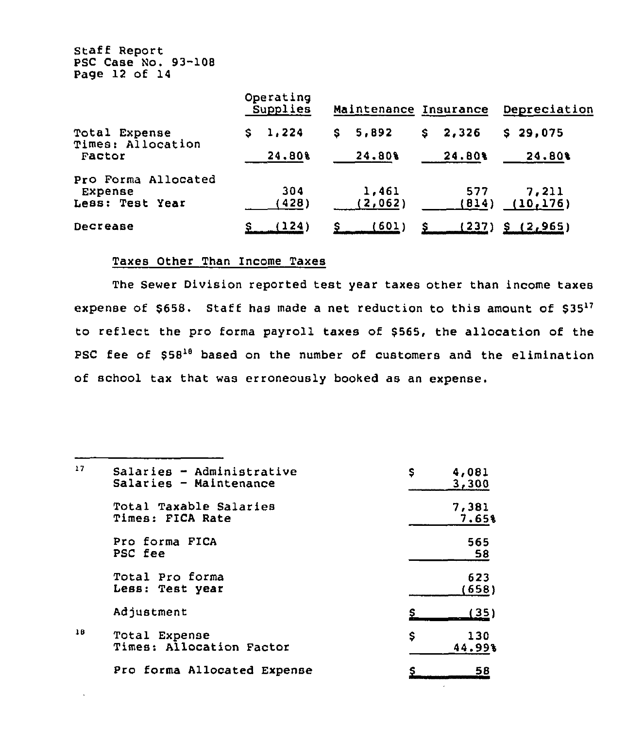Staff Report PSC Case No. 93-108 Page 12 of 14

|                                                   | Operating<br>Supplies | Maintenance Insurance |             | Depreciation       |  |
|---------------------------------------------------|-----------------------|-----------------------|-------------|--------------------|--|
| Total Expense<br>Times: Allocation                | 1,224<br>s.           | 5,892<br>S.           | 2,326<br>S. | $S$ 29,075         |  |
| Factor                                            | 24.80%                | 24.80%                | 24.80%      | 24,80%             |  |
| Pro Forma Allocated<br>Expense<br>Less: Test Year | 304<br>428)           | 1,461<br>(2,062)      | 577<br>814) | 7,211<br>(10, 176) |  |
| Decrease                                          | (124)                 | 601)                  | 237)        | (2, 965)           |  |

# Taxes Other Than Income Taxes

The Sewer Division reported test year taxes other than income taxes expense of  $$658$ . Staff has made a net reduction to this amount of  $$35^{17}$$ to reflect the pro forma payroll taxes of \$565, the allocation of the PSC fee of \$58<sup>18</sup> based on the number of customers and the elimination of school tax that was erroneously booked as an expense.

| 17 | Salaries - Administrative<br>Salaries - Maintenance | \$<br>4,081<br>3,300 |
|----|-----------------------------------------------------|----------------------|
|    | Total Taxable Salaries<br>Times: FICA Rate          | 7,381<br>7.65%       |
|    | Pro forma FICA<br>PSC fee                           | 565<br>58            |
|    | Total Pro forma<br>Less: Test year                  | 623<br>(658)         |
|    | Adjustment                                          | (35)                 |
| 18 | Total Expense<br>Times: Allocation Factor           | \$<br>130<br>44.99%  |
|    | Pro forma Allocated Expense                         | 58                   |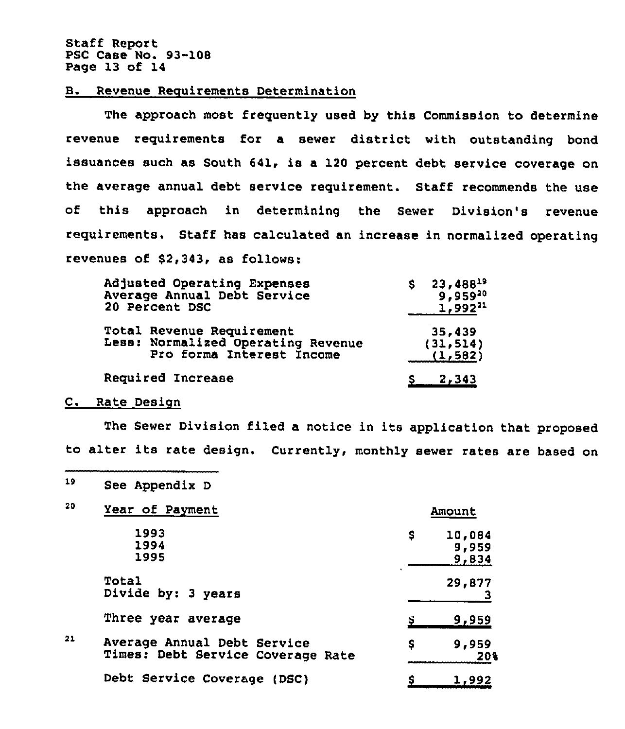Staff Report PSC Case No. 93-108 Page 13 of 14

### B. Revenue Requirements Determination

The approach most frequently used by this Commission to determine revenue requirements for a sewer district with outstanding bond issuances such as South 641, is a 120 percent debt service coverage on the average annual debt service requirement. Staff recommends the use of this approach in determining the Sewer Division's revenue requirements. Staff has calculated an increase in normalized operating revenues of \$2,343, as follows:

| Adjusted Operating Expenses        | 23,48819     |
|------------------------------------|--------------|
| Average Annual Debt Service        | 9,95920      |
| 20 Percent DSC                     | $1,992^{21}$ |
| <b>Total Revenue Requirement</b>   | 35,439       |
| Less: Normalized Operating Revenue | (31, 514)    |
| Pro forma Interest Income          | (1, 582)     |
| Required Increase                  | $S = 2,343$  |

#### C. Rate Design

The Sewer Division filed a notice in its application that proposed to alter its rate design. Currently, monthly sewer rates are based on

19 See Appendix <sup>D</sup>

| 20 | Year of Payment                                                  | Amount |                          |
|----|------------------------------------------------------------------|--------|--------------------------|
|    | 1993<br>1994<br>1995                                             | \$     | 10,084<br>9,959<br>9,834 |
|    | Total<br>Divide by: 3 years                                      |        | 29,877                   |
|    | Three year average                                               |        | 9,959                    |
| 21 | Average Annual Debt Service<br>Times: Debt Service Coverage Rate | \$     | 9,959<br>20%             |
|    | Debt Service Coverage (DSC)                                      |        | 1,992                    |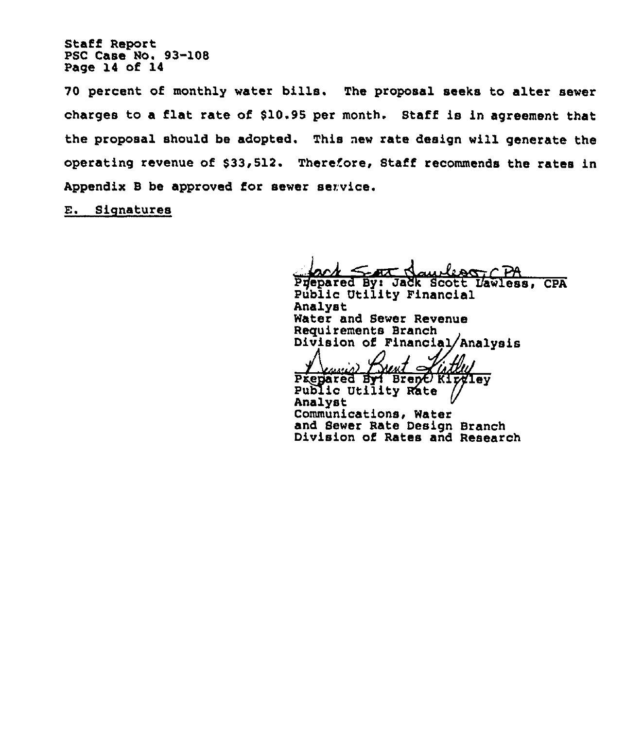Staff Report PSC Case No. 93-108 Page 14 of 14

70 percent of monthly water bills. The proposal seeks to alter sewer charges to a flat rate of \$10.95 per month. Staff is in agreement that the proposal should be adopted. This new rate design will generate the operating revenue of \$33,512. Therefore, Staff recommends the rates in Appendix B be approved for sewer service.

E. Signatures

Prepared By: Jadk Scott Dawless, CPA

Public Utility Financial Analyst Water and Sewer Revenue Requirements Branch Division of Financial/Analysis

next\_0  $\ell_{I\!\!M}$ 

Prepared By: Brenc Kirviey<br>Public Utility Rate // Analyst Communications, Water and Sewer Rate Design Branch Division of Rates and Research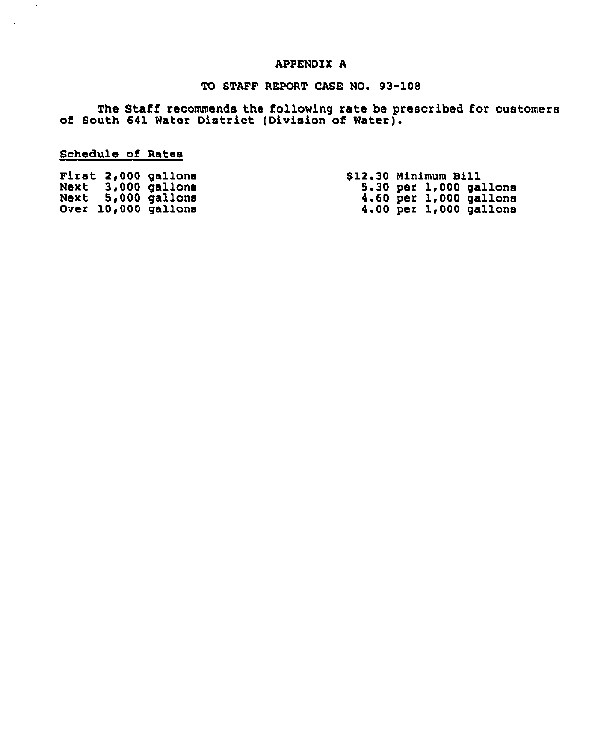# APPENDIX A

# TO STAFF REPORT CASE NO. 93-108

The Staff recommends the following rate be prescribed for customer of South 641 Water District (Division of Water).

Schedule of Rates

 $\mathcal{L}$ 

|  | First 2,000 gallons | \$12.30 Minimum Bill       |
|--|---------------------|----------------------------|
|  | Next 3,000 gallons  | $5.30$ per $1,000$ gallons |
|  | Next 5,000 gallons  | $4.60$ per $1,000$ gallons |
|  | Over 10,000 gallons | $4.00$ per $1,000$ gallons |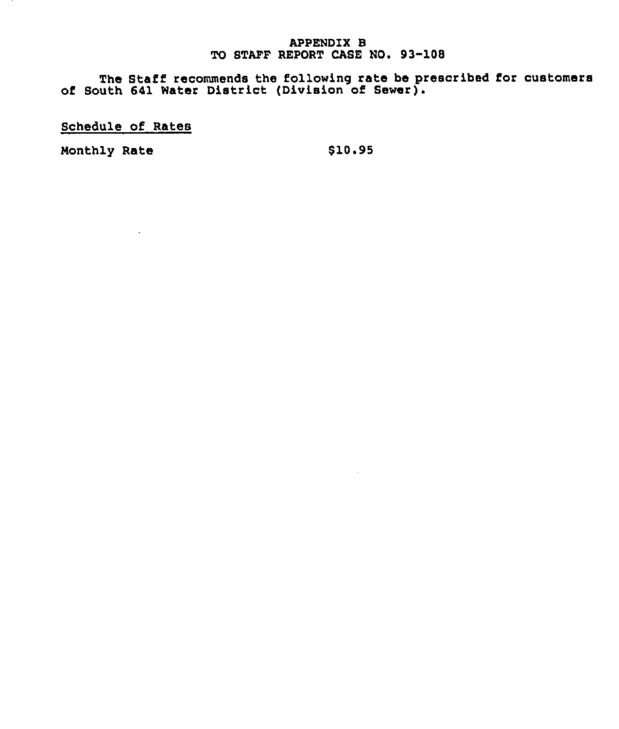## APPENDIX B TO STAFF REPORT CASE NO. 93-108

The Staff recommends the following rate be prescribed for customer of South 641 Water District (Division of Sewer).

Schedule of Rates

 $\sim 100$ 

Monthly Rate \$10.95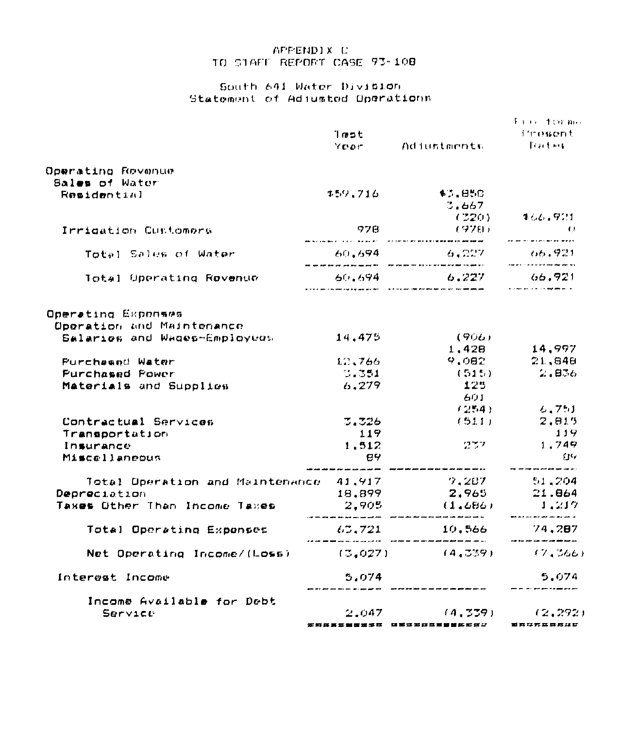## APPENDIX C TO STAFF REPORT CASE 93-108

## South 641 Water Division Statement of Adjusted Operations

|                                                                                                                                                                                                                                       | lmet<br>Yoor                                                          | Adjustments                                                                                                                                                                                                                                   | fire †orme<br>Frowert<br><b>Traction</b>                                                                                                    |
|---------------------------------------------------------------------------------------------------------------------------------------------------------------------------------------------------------------------------------------|-----------------------------------------------------------------------|-----------------------------------------------------------------------------------------------------------------------------------------------------------------------------------------------------------------------------------------------|---------------------------------------------------------------------------------------------------------------------------------------------|
| Operating Revenue                                                                                                                                                                                                                     |                                                                       |                                                                                                                                                                                                                                               |                                                                                                                                             |
| Bales of Water                                                                                                                                                                                                                        |                                                                       |                                                                                                                                                                                                                                               |                                                                                                                                             |
| Residential                                                                                                                                                                                                                           | まちりょう16                                                               | \$7.85C                                                                                                                                                                                                                                       |                                                                                                                                             |
|                                                                                                                                                                                                                                       |                                                                       | 3.667<br>(320)                                                                                                                                                                                                                                | 466.921                                                                                                                                     |
| Irrigation Customers                                                                                                                                                                                                                  | - 978                                                                 | (ヲフロ)                                                                                                                                                                                                                                         | $\sim$ 0.000 $\Omega$                                                                                                                       |
|                                                                                                                                                                                                                                       |                                                                       |                                                                                                                                                                                                                                               | aa ah uu waxaa aa waan                                                                                                                      |
| Total Sales of Water                                                                                                                                                                                                                  | 60,694                                                                | 6.227<br>$\sigma$ , and the state and the state and that $\sigma$ . Then there are now that it is the state one and the state of the state and the state of the state of the state of the state of the state of the state of the state of the | - 66,921<br>stations in the second countries and second                                                                                     |
| Total Operating Rovenum                                                                                                                                                                                                               |                                                                       | $60.694$ $6.227$                                                                                                                                                                                                                              | 66,921<br><b>A construction of the construction of the con-</b>                                                                             |
| Operating Exponses<br>Operation and Maintenance<br>Salaries and Wages-Employees<br><b>Purchesed Water</b><br><b>Purchased Power</b><br>Materials and Supplies<br>Contractual Services<br>Transportation<br>Insurance<br>Miscellaneous | 14.475<br>12.766<br>3.351<br>6,279<br>$-3.326$<br>119<br>1.512<br>89. | (906)<br>1,428<br>9.082<br>(515)<br>125<br>601<br>(254)<br>(511)<br>ن ۾ ڪالم ڪالم ڪالم الحال کالم ڪالم جيڪ محمد ملڪر ملڪر ڪالم ڪالم الحال لهائڻ – " ڪالم جيهن علمن ڪري پوري ۽                                                                 | 14,997<br>21,848<br>2.1836<br>6.751<br>2,815<br>119<br>1.749<br><b>CI</b> 7<br>أدابين تهديه فينهم فإنتاق لمائي يبتينا كولينا فأولى الإنتمار |
| Total Operation and Maintenance 41.917 - 7.207 51.204                                                                                                                                                                                 |                                                                       |                                                                                                                                                                                                                                               |                                                                                                                                             |
| Depreciation                                                                                                                                                                                                                          | 18.899                                                                | 2.965                                                                                                                                                                                                                                         | 21.864                                                                                                                                      |
| Taxes Other Than Income Taxes                                                                                                                                                                                                         | 2.905                                                                 | (1.686)                                                                                                                                                                                                                                       | 1.217                                                                                                                                       |
| Total Operating Expenses                                                                                                                                                                                                              |                                                                       | $63,721$ 10,566                                                                                                                                                                                                                               | 74.287                                                                                                                                      |
| Net Operating Income/(Loss)                                                                                                                                                                                                           | (3,027)                                                               | (4,339)                                                                                                                                                                                                                                       | (7.366)                                                                                                                                     |
| Interest Income                                                                                                                                                                                                                       | 5.074                                                                 |                                                                                                                                                                                                                                               | 5.074                                                                                                                                       |
| Income Available for Debt<br>Service                                                                                                                                                                                                  |                                                                       | $2,047$ (4,339)<br>****** 过氧过氧或或氧等等的氧化过少 氧氧过氧或氮氨过敏                                                                                                                                                                                            | (2, 292)                                                                                                                                    |